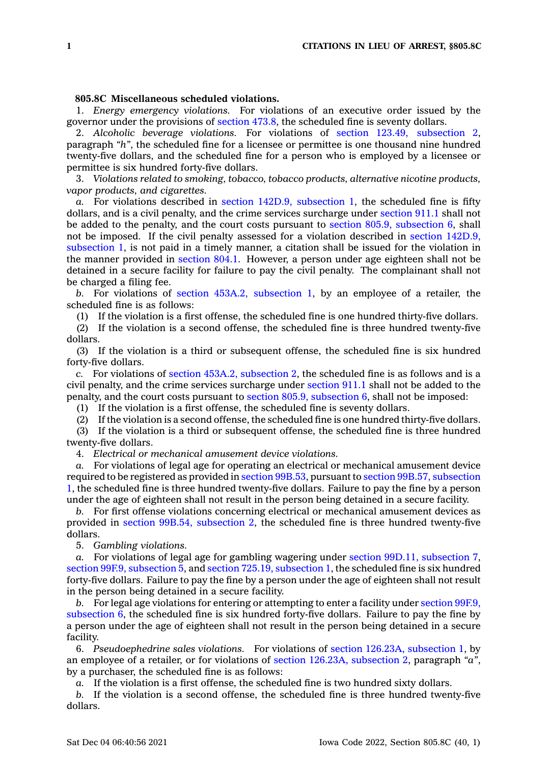## **805.8C Miscellaneous scheduled violations.**

1. *Energy emergency violations.* For violations of an executive order issued by the governor under the provisions of [section](https://www.legis.iowa.gov/docs/code/473.8.pdf) 473.8, the scheduled fine is seventy dollars.

2. *Alcoholic beverage violations.* For violations of section 123.49, [subsection](https://www.legis.iowa.gov/docs/code/123.49.pdf) 2, paragraph *"h"*, the scheduled fine for <sup>a</sup> licensee or permittee is one thousand nine hundred twenty-five dollars, and the scheduled fine for <sup>a</sup> person who is employed by <sup>a</sup> licensee or permittee is six hundred forty-five dollars.

3. *Violations related to smoking, tobacco, tobacco products, alternative nicotine products, vapor products, and cigarettes.*

*a.* For violations described in section 142D.9, [subsection](https://www.legis.iowa.gov/docs/code/142D.9.pdf) 1, the scheduled fine is fifty dollars, and is <sup>a</sup> civil penalty, and the crime services surcharge under [section](https://www.legis.iowa.gov/docs/code/911.1.pdf) 911.1 shall not be added to the penalty, and the court costs pursuant to section 805.9, [subsection](https://www.legis.iowa.gov/docs/code/805.9.pdf) 6, shall not be imposed. If the civil penalty assessed for <sup>a</sup> violation described in section [142D.9,](https://www.legis.iowa.gov/docs/code/142D.9.pdf) [subsection](https://www.legis.iowa.gov/docs/code/142D.9.pdf) 1, is not paid in <sup>a</sup> timely manner, <sup>a</sup> citation shall be issued for the violation in the manner provided in [section](https://www.legis.iowa.gov/docs/code/804.1.pdf) 804.1. However, <sup>a</sup> person under age eighteen shall not be detained in <sup>a</sup> secure facility for failure to pay the civil penalty. The complainant shall not be charged <sup>a</sup> filing fee.

*b.* For violations of section 453A.2, [subsection](https://www.legis.iowa.gov/docs/code/453A.2.pdf) 1, by an employee of <sup>a</sup> retailer, the scheduled fine is as follows:

(1) If the violation is <sup>a</sup> first offense, the scheduled fine is one hundred thirty-five dollars.

(2) If the violation is <sup>a</sup> second offense, the scheduled fine is three hundred twenty-five dollars.

(3) If the violation is <sup>a</sup> third or subsequent offense, the scheduled fine is six hundred forty-five dollars.

*c.* For violations of section 453A.2, [subsection](https://www.legis.iowa.gov/docs/code/453A.2.pdf) 2, the scheduled fine is as follows and is <sup>a</sup> civil penalty, and the crime services surcharge under [section](https://www.legis.iowa.gov/docs/code/911.1.pdf) 911.1 shall not be added to the penalty, and the court costs pursuant to section 805.9, [subsection](https://www.legis.iowa.gov/docs/code/805.9.pdf) 6, shall not be imposed:

(1) If the violation is <sup>a</sup> first offense, the scheduled fine is seventy dollars.

(2) If the violation is <sup>a</sup> second offense, the scheduled fine is one hundred thirty-five dollars.

(3) If the violation is <sup>a</sup> third or subsequent offense, the scheduled fine is three hundred twenty-five dollars.

4. *Electrical or mechanical amusement device violations.*

*a.* For violations of legal age for operating an electrical or mechanical amusement device required to be registered as provided in section [99B.53](https://www.legis.iowa.gov/docs/code/99B.53.pdf), pursuant to section 99B.57, [subsection](https://www.legis.iowa.gov/docs/code/99B.57.pdf) [1](https://www.legis.iowa.gov/docs/code/99B.57.pdf), the scheduled fine is three hundred twenty-five dollars. Failure to pay the fine by <sup>a</sup> person under the age of eighteen shall not result in the person being detained in <sup>a</sup> secure facility.

*b.* For first offense violations concerning electrical or mechanical amusement devices as provided in section 99B.54, [subsection](https://www.legis.iowa.gov/docs/code/99B.54.pdf) 2, the scheduled fine is three hundred twenty-five dollars.

5. *Gambling violations.*

*a.* For violations of legal age for gambling wagering under section 99D.11, [subsection](https://www.legis.iowa.gov/docs/code/99D.11.pdf) 7, section 99F.9, [subsection](https://www.legis.iowa.gov/docs/code/99F.9.pdf) 5, and section 725.19, [subsection](https://www.legis.iowa.gov/docs/code/725.19.pdf) 1, the scheduled fine is six hundred forty-five dollars. Failure to pay the fine by <sup>a</sup> person under the age of eighteen shall not result in the person being detained in <sup>a</sup> secure facility.

*b.* For legal age violations for entering or attempting to enter <sup>a</sup> facility under [section](https://www.legis.iowa.gov/docs/code/99F.9.pdf) 99F.9, [subsection](https://www.legis.iowa.gov/docs/code/99F.9.pdf) 6, the scheduled fine is six hundred forty-five dollars. Failure to pay the fine by <sup>a</sup> person under the age of eighteen shall not result in the person being detained in <sup>a</sup> secure facility.

6. *Pseudoephedrine sales violations.* For violations of section 126.23A, [subsection](https://www.legis.iowa.gov/docs/code/126.23A.pdf) 1, by an employee of <sup>a</sup> retailer, or for violations of section 126.23A, [subsection](https://www.legis.iowa.gov/docs/code/126.23A.pdf) 2, paragraph *"a"*, by <sup>a</sup> purchaser, the scheduled fine is as follows:

*a.* If the violation is <sup>a</sup> first offense, the scheduled fine is two hundred sixty dollars.

*b.* If the violation is <sup>a</sup> second offense, the scheduled fine is three hundred twenty-five dollars.